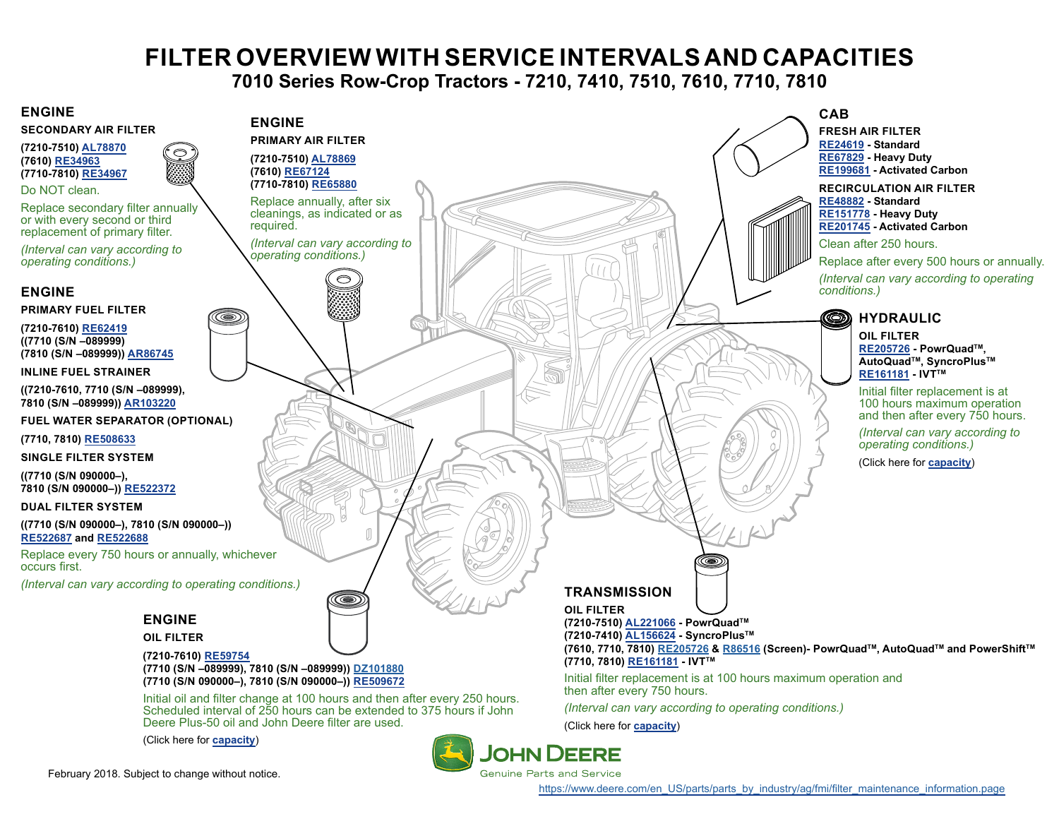# **FILTER OVERVIEW WITH SERVICE INTERVALS AND CAPACITIES**

**7010 Series Row-Crop Tractors - 7210, 7410, 7510, 7610, 7710, 7810**

#### <span id="page-0-0"></span>**ENGINE**



**(7210-7510) [AL78870](https://jdparts.deere.com/servlet/com.deere.u90.jdparts.view.servlets.partinfocontroller.PartDetails?screenName=JDSearch&&partSearchNumber=AL78870) (7610) [RE34963](https://jdparts.deere.com/servlet/com.deere.u90.jdparts.view.servlets.partinfocontroller.PartDetails?screenName=JDSearch&&partSearchNumber=RE34963) (7710-7810) [RE34967](https://jdparts.deere.com/servlet/com.deere.u90.jdparts.view.servlets.partinfocontroller.PartDetails?screenName=JDSearch&&partSearchNumber=RE34967)**

Do NOT clean.

Replace secondary filter annually or with every second or third replacement of primary filter.

*(Interval can vary according to operating conditions.)*

#### **ENGINE**

**PRIMARY FUEL FILTER**

**(7210-7610) [RE62419](https://jdparts.deere.com/servlet/com.deere.u90.jdparts.view.servlets.partinfocontroller.PartDetails?screenName=JDSearch&&partSearchNumber=RE62419) ((7710 (S/N –089999) (7810 (S/N –089999)) [AR86745](https://jdparts.deere.com/servlet/com.deere.u90.jdparts.view.servlets.partinfocontroller.PartDetails?screenName=JDSearch&&partSearchNumber=AR86745)**

**INLINE FUEL STRAINER**

**((7210-7610, 7710 (S/N –089999), 7810 (S/N –089999)) [AR103220](https://jdparts.deere.com/servlet/com.deere.u90.jdparts.view.servlets.partinfocontroller.PartDetails?screenName=JDSearch&&partSearchNumber=AR103220)**

**FUEL WATER SEPARATOR (OPTIONAL)**

**(7710, 7810) [RE508633](https://jdparts.deere.com/servlet/com.deere.u90.jdparts.view.servlets.partinfocontroller.PartDetails?screenName=JDSearch&&partSearchNumber=RE508633)**

**SINGLE FILTER SYSTEM**

**((7710 (S/N 090000–), 7810 (S/N 090000–)) [RE522372](https://jdparts.deere.com/servlet/com.deere.u90.jdparts.view.servlets.partinfocontroller.PartDetails?screenName=JDSearch&&partSearchNumber=RE522372)**

**DUAL FILTER SYSTEM**

**((7710 (S/N 090000–), 7810 (S/N 090000–)) [RE52](https://jdparts.deere.com/servlet/com.deere.u90.jdparts.view.servlets.partinfocontroller.PartDetails?screenName=JDSearch&&partSearchNumber=RE522687)2687 and [RE](https://jdparts.deere.com/servlet/com.deere.u90.jdparts.view.servlets.partinfocontroller.PartDetails?screenName=JDSearch&&partSearchNumber=RE522688)522688**

Replace every 750 hours or annually, whichever occurs first.

*(Interval can vary according to operating conditions.)*

## **ENGINE**

#### **OIL FILTER**

**(7210-7610) [RE59754](https://jdparts.deere.com/servlet/com.deere.u90.jdparts.view.servlets.partinfocontroller.PartDetails?screenName=JDSearch&&partSearchNumber=RE59754) (7710 (S/N –089999), 7810 (S/N –089999)) [DZ101880](https://jdparts.deere.com/servlet/com.deere.u90.jdparts.view.servlets.partinfocontroller.PartDetails?screenName=JDSearch&&partSearchNumber=DZ101880) (7710 (S/N 090000–), 7810 (S/N 090000–)) [RE509672](https://jdparts.deere.com/servlet/com.deere.u90.jdparts.view.servlets.partinfocontroller.PartDetails?screenName=JDSearch&&partSearchNumber=RE509672)**

Initial oil and filter change at 100 hours and then after every 250 hours. Scheduled interval of 250 hours can be extended to 375 hours if John Deere Plus-50 oil and John Deere filter are used.

(Click here for **[capacity](#page-1-0)**)



February 2018. Subject to change without notice.

[https://www.deere.com/en\\_US/parts/parts\\_by\\_industry/ag/fmi/filter\\_maintenance\\_information.page](https://www.deere.com/en_US/parts/parts_by_industry/ag/fmi/filter_maintenance_information.page)